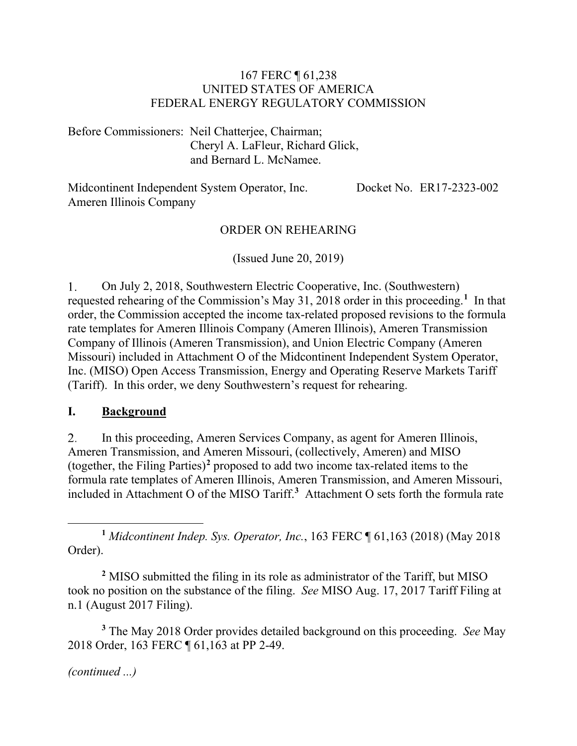#### 167 FERC ¶ 61,238 UNITED STATES OF AMERICA FEDERAL ENERGY REGULATORY COMMISSION

Before Commissioners: Neil Chatterjee, Chairman; Cheryl A. LaFleur, Richard Glick, and Bernard L. McNamee.

Midcontinent Independent System Operator, Inc. Ameren Illinois Company Docket No. ER17-2323-002

#### ORDER ON REHEARING

(Issued June 20, 2019)

 $1<sub>1</sub>$ On July 2, 2018, Southwestern Electric Cooperative, Inc. (Southwestern) requested rehearing of the Commission's May 31, 2018 order in this proceeding.**[1](#page-0-0)** In that order, the Commission accepted the income tax-related proposed revisions to the formula rate templates for Ameren Illinois Company (Ameren Illinois), Ameren Transmission Company of Illinois (Ameren Transmission), and Union Electric Company (Ameren Missouri) included in Attachment O of the Midcontinent Independent System Operator, Inc. (MISO) Open Access Transmission, Energy and Operating Reserve Markets Tariff (Tariff). In this order, we deny Southwestern's request for rehearing.

#### **I. Background**

 $2.$ In this proceeding, Ameren Services Company, as agent for Ameren Illinois, Ameren Transmission, and Ameren Missouri, (collectively, Ameren) and MISO (together, the Filing Parties)**[2](#page-0-1)** proposed to add two income tax-related items to the formula rate templates of Ameren Illinois, Ameren Transmission, and Ameren Missouri, included in Attachment O of the MISO Tariff.**[3](#page-0-2)** Attachment O sets forth the formula rate

<span id="page-0-0"></span>**<sup>1</sup>** *Midcontinent Indep. Sys. Operator, Inc.*, 163 FERC ¶ 61,163 (2018) (May 2018 Order).

<span id="page-0-1"></span>**<sup>2</sup>** MISO submitted the filing in its role as administrator of the Tariff, but MISO took no position on the substance of the filing. *See* MISO Aug. 17, 2017 Tariff Filing at n.1 (August 2017 Filing).

<span id="page-0-2"></span>**<sup>3</sup>** The May 2018 Order provides detailed background on this proceeding. *See* May 2018 Order, 163 FERC ¶ 61,163 at PP 2-49.

*(continued ...)*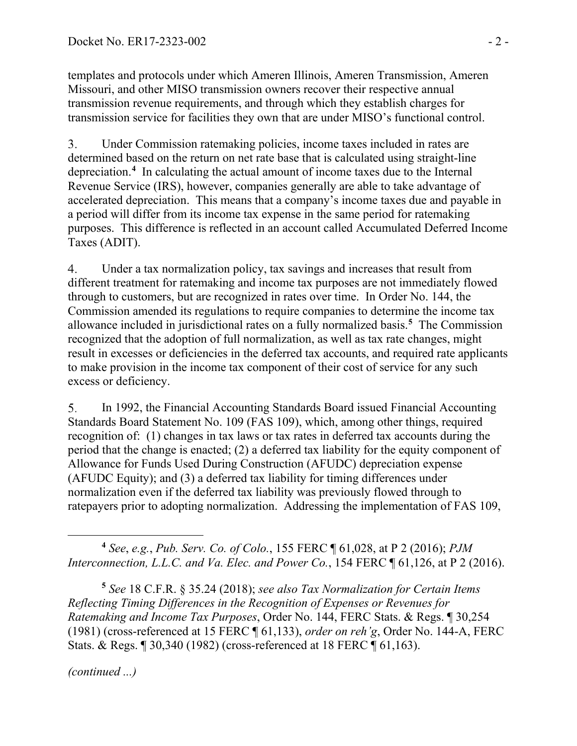templates and protocols under which Ameren Illinois, Ameren Transmission, Ameren Missouri, and other MISO transmission owners recover their respective annual transmission revenue requirements, and through which they establish charges for transmission service for facilities they own that are under MISO's functional control.

 $3<sub>1</sub>$ Under Commission ratemaking policies, income taxes included in rates are determined based on the return on net rate base that is calculated using straight-line depreciation.**[4](#page-1-0)** In calculating the actual amount of income taxes due to the Internal Revenue Service (IRS), however, companies generally are able to take advantage of accelerated depreciation. This means that a company's income taxes due and payable in a period will differ from its income tax expense in the same period for ratemaking purposes. This difference is reflected in an account called Accumulated Deferred Income Taxes (ADIT).

Under a tax normalization policy, tax savings and increases that result from 4. different treatment for ratemaking and income tax purposes are not immediately flowed through to customers, but are recognized in rates over time. In Order No. 144, the Commission amended its regulations to require companies to determine the income tax allowance included in jurisdictional rates on a fully normalized basis.**[5](#page-1-1)** The Commission recognized that the adoption of full normalization, as well as tax rate changes, might result in excesses or deficiencies in the deferred tax accounts, and required rate applicants to make provision in the income tax component of their cost of service for any such excess or deficiency.

5. In 1992, the Financial Accounting Standards Board issued Financial Accounting Standards Board Statement No. 109 (FAS 109), which, among other things, required recognition of: (1) changes in tax laws or tax rates in deferred tax accounts during the period that the change is enacted; (2) a deferred tax liability for the equity component of Allowance for Funds Used During Construction (AFUDC) depreciation expense (AFUDC Equity); and (3) a deferred tax liability for timing differences under normalization even if the deferred tax liability was previously flowed through to ratepayers prior to adopting normalization. Addressing the implementation of FAS 109,

<span id="page-1-0"></span> $\overline{a}$ **<sup>4</sup>** *See*, *e.g.*, *Pub. Serv. Co. of Colo.*, 155 FERC ¶ 61,028, at P 2 (2016); *PJM Interconnection, L.L.C. and Va. Elec. and Power Co.*, 154 FERC ¶ 61,126, at P 2 (2016).

<span id="page-1-1"></span>**<sup>5</sup>** *See* 18 C.F.R. § 35.24 (2018); *see also Tax Normalization for Certain Items Reflecting Timing Differences in the Recognition of Expenses or Revenues for Ratemaking and Income Tax Purposes*, Order No. 144, FERC Stats. & Regs. ¶ 30,254 (1981) (cross-referenced at 15 FERC ¶ 61,133), *order on reh'g*, Order No. 144-A, FERC Stats. & Regs. ¶ 30,340 (1982) (cross-referenced at 18 FERC ¶ 61,163).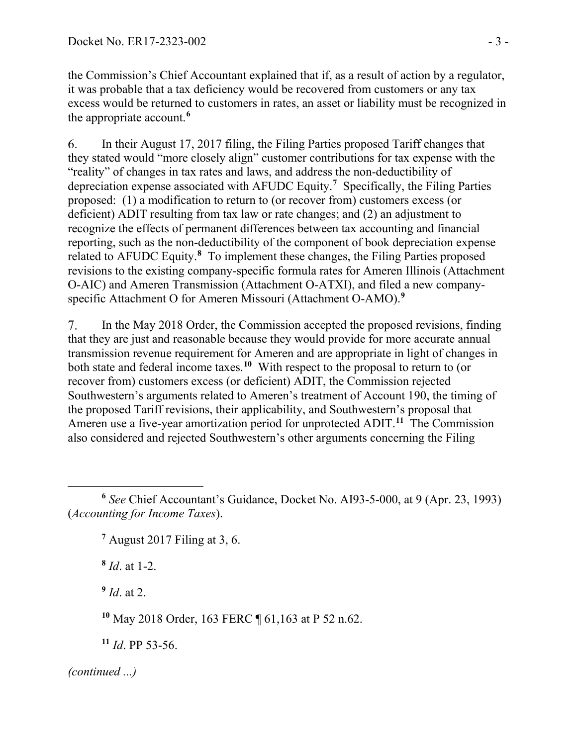the Commission's Chief Accountant explained that if, as a result of action by a regulator, it was probable that a tax deficiency would be recovered from customers or any tax excess would be returned to customers in rates, an asset or liability must be recognized in the appropriate account.**[6](#page-2-0)**

6. In their August 17, 2017 filing, the Filing Parties proposed Tariff changes that they stated would "more closely align" customer contributions for tax expense with the "reality" of changes in tax rates and laws, and address the non-deductibility of depreciation expense associated with AFUDC Equity. **[7](#page-2-1)** Specifically, the Filing Parties proposed: (1) a modification to return to (or recover from) customers excess (or deficient) ADIT resulting from tax law or rate changes; and (2) an adjustment to recognize the effects of permanent differences between tax accounting and financial reporting, such as the non-deductibility of the component of book depreciation expense related to AFUDC Equity.**[8](#page-2-2)** To implement these changes, the Filing Parties proposed revisions to the existing company-specific formula rates for Ameren Illinois (Attachment O-AIC) and Ameren Transmission (Attachment O-ATXI), and filed a new companyspecific Attachment O for Ameren Missouri (Attachment O-AMO). **[9](#page-2-3)**

In the May 2018 Order, the Commission accepted the proposed revisions, finding  $7_{\cdot}$ that they are just and reasonable because they would provide for more accurate annual transmission revenue requirement for Ameren and are appropriate in light of changes in both state and federal income taxes. **[10](#page-2-4)** With respect to the proposal to return to (or recover from) customers excess (or deficient) ADIT, the Commission rejected Southwestern's arguments related to Ameren's treatment of Account 190, the timing of the proposed Tariff revisions, their applicability, and Southwestern's proposal that Ameren use a five-year amortization period for unprotected ADIT.<sup>[11](#page-2-5)</sup> The Commission also considered and rejected Southwestern's other arguments concerning the Filing

**<sup>7</sup>** August 2017 Filing at 3, 6.

<span id="page-2-2"></span>**<sup>8</sup>** *Id*. at 1-2.

<span id="page-2-3"></span>**<sup>9</sup>** *Id*. at 2.

<span id="page-2-4"></span>**<sup>10</sup>** May 2018 Order, 163 FERC ¶ 61,163 at P 52 n.62.

<span id="page-2-5"></span>**<sup>11</sup>** *Id*. PP 53-56.

<span id="page-2-1"></span><span id="page-2-0"></span>**<sup>6</sup>** *See* Chief Accountant's Guidance, Docket No. AI93-5-000, at 9 (Apr. 23, 1993) (*Accounting for Income Taxes*).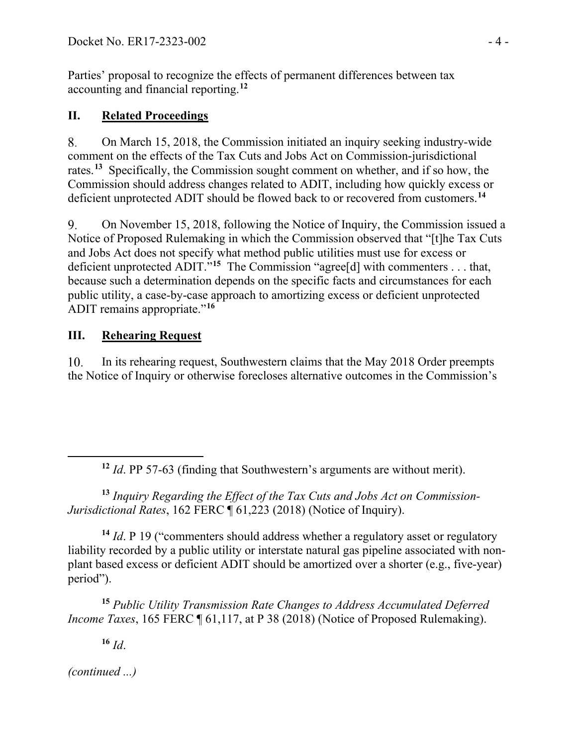Parties' proposal to recognize the effects of permanent differences between tax accounting and financial reporting. **[12](#page-3-0)**

# **II. Related Proceedings**

On March 15, 2018, the Commission initiated an inquiry seeking industry-wide 8. comment on the effects of the Tax Cuts and Jobs Act on Commission-jurisdictional rates.**[13](#page-3-1)** Specifically, the Commission sought comment on whether, and if so how, the Commission should address changes related to ADIT, including how quickly excess or deficient unprotected ADIT should be flowed back to or recovered from customers.**[14](#page-3-2)**

9. On November 15, 2018, following the Notice of Inquiry, the Commission issued a Notice of Proposed Rulemaking in which the Commission observed that "[t]he Tax Cuts and Jobs Act does not specify what method public utilities must use for excess or deficient unprotected ADIT."**[15](#page-3-3)** The Commission "agree[d] with commenters . . . that, because such a determination depends on the specific facts and circumstances for each public utility, a case-by-case approach to amortizing excess or deficient unprotected ADIT remains appropriate."**[16](#page-3-4)**

# **III. Rehearing Request**

In its rehearing request, Southwestern claims that the May 2018 Order preempts 10. the Notice of Inquiry or otherwise forecloses alternative outcomes in the Commission's

<span id="page-3-1"></span>**<sup>13</sup>** *Inquiry Regarding the Effect of the Tax Cuts and Jobs Act on Commission-Jurisdictional Rates*, 162 FERC ¶ 61,223 (2018) (Notice of Inquiry).

<span id="page-3-2"></span>**<sup>14</sup>** *Id*. P 19 ("commenters should address whether a regulatory asset or regulatory liability recorded by a public utility or interstate natural gas pipeline associated with nonplant based excess or deficient ADIT should be amortized over a shorter (e.g., five-year) period").

<span id="page-3-3"></span>**<sup>15</sup>** *Public Utility Transmission Rate Changes to Address Accumulated Deferred Income Taxes*, 165 FERC ¶ 61,117, at P 38 (2018) (Notice of Proposed Rulemaking).

**<sup>16</sup>** *Id*.

<span id="page-3-4"></span>*(continued ...)*

<span id="page-3-0"></span>

**<sup>12</sup>** *Id*. PP 57-63 (finding that Southwestern's arguments are without merit).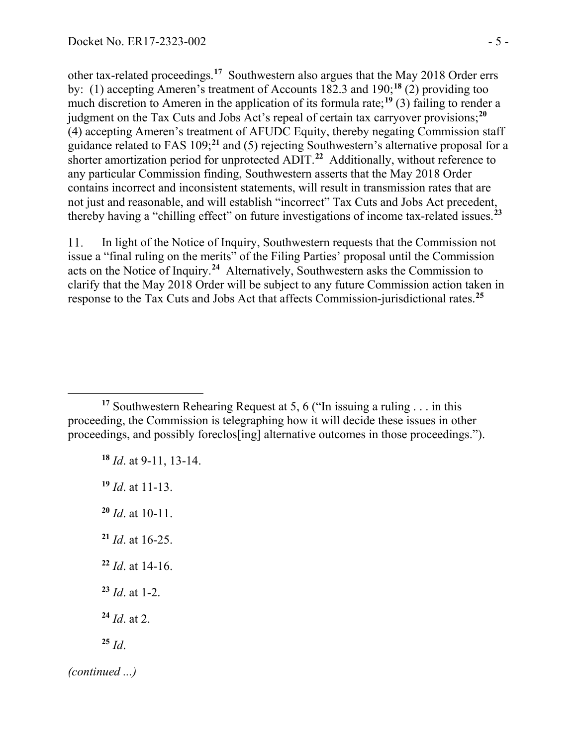other tax-related proceedings.**[17](#page-4-0)** Southwestern also argues that the May 2018 Order errs by: (1) accepting Ameren's treatment of Accounts 182.3 and 190;**[18](#page-4-1)** (2) providing too much discretion to Ameren in the application of its formula rate;<sup>[19](#page-4-2)</sup> (3) failing to render a judgment on the Tax Cuts and Jobs Act's repeal of certain tax carryover provisions;**[20](#page-4-3)** (4) accepting Ameren's treatment of AFUDC Equity, thereby negating Commission staff guidance related to FAS 109; **[21](#page-4-4)** and (5) rejecting Southwestern's alternative proposal for a shorter amortization period for unprotected ADIT. **[22](#page-4-5)** Additionally, without reference to any particular Commission finding, Southwestern asserts that the May 2018 Order contains incorrect and inconsistent statements, will result in transmission rates that are not just and reasonable, and will establish "incorrect" Tax Cuts and Jobs Act precedent, thereby having a "chilling effect" on future investigations of income tax-related issues. **[23](#page-4-6)**

In light of the Notice of Inquiry, Southwestern requests that the Commission not 11. issue a "final ruling on the merits" of the Filing Parties' proposal until the Commission acts on the Notice of Inquiry. **[24](#page-4-7)** Alternatively, Southwestern asks the Commission to clarify that the May 2018 Order will be subject to any future Commission action taken in response to the Tax Cuts and Jobs Act that affects Commission-jurisdictional rates. **[25](#page-4-8)**

- **<sup>18</sup>** *Id*. at 9-11, 13-14.
- <span id="page-4-2"></span>**<sup>19</sup>** *Id*. at 11-13.

 $\overline{a}$ 

- <span id="page-4-3"></span>**<sup>20</sup>** *Id*. at 10-11.
- <span id="page-4-4"></span>**<sup>21</sup>** *Id*. at 16-25.
- <span id="page-4-5"></span>**<sup>22</sup>** *Id*. at 14-16.
- <span id="page-4-6"></span>**<sup>23</sup>** *Id*. at 1-2.
- <span id="page-4-7"></span>**<sup>24</sup>** *Id*. at 2.
- <span id="page-4-8"></span>**<sup>25</sup>** *Id*.

<span id="page-4-1"></span><span id="page-4-0"></span>**<sup>17</sup>** Southwestern Rehearing Request at 5, 6 ("In issuing a ruling . . . in this proceeding, the Commission is telegraphing how it will decide these issues in other proceedings, and possibly foreclos[ing] alternative outcomes in those proceedings.").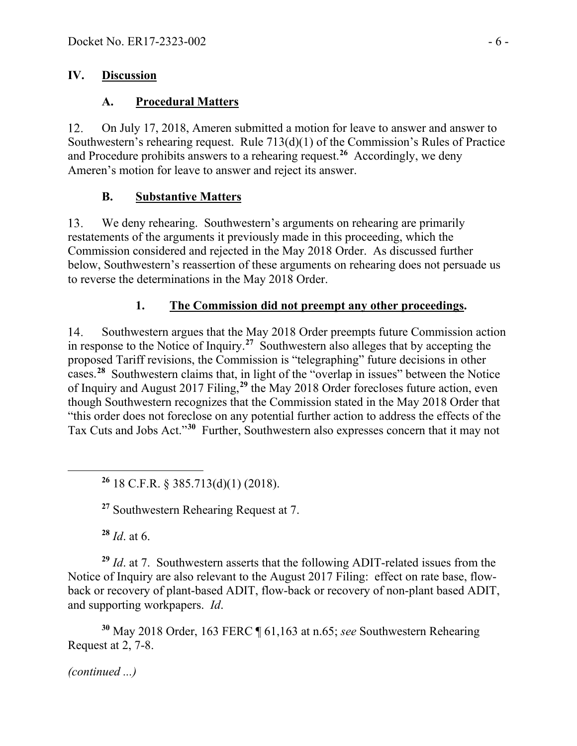### **IV. Discussion**

## **A. Procedural Matters**

12. On July 17, 2018, Ameren submitted a motion for leave to answer and answer to Southwestern's rehearing request. Rule 713(d)(1) of the Commission's Rules of Practice and Procedure prohibits answers to a rehearing request.**[26](#page-5-0)** Accordingly, we deny Ameren's motion for leave to answer and reject its answer.

# **B. Substantive Matters**

13. We deny rehearing. Southwestern's arguments on rehearing are primarily restatements of the arguments it previously made in this proceeding, which the Commission considered and rejected in the May 2018 Order. As discussed further below, Southwestern's reassertion of these arguments on rehearing does not persuade us to reverse the determinations in the May 2018 Order.

# **1. The Commission did not preempt any other proceedings.**

Southwestern argues that the May 2018 Order preempts future Commission action 14. in response to the Notice of Inquiry.**[27](#page-5-1)** Southwestern also alleges that by accepting the proposed Tariff revisions, the Commission is "telegraphing" future decisions in other cases.**[28](#page-5-2)** Southwestern claims that, in light of the "overlap in issues" between the Notice of Inquiry and August 2017 Filing,**[29](#page-5-3)** the May 2018 Order forecloses future action, even though Southwestern recognizes that the Commission stated in the May 2018 Order that "this order does not foreclose on any potential further action to address the effects of the Tax Cuts and Jobs Act."**[30](#page-5-4)** Further, Southwestern also expresses concern that it may not

**<sup>26</sup>** 18 C.F.R. § 385.713(d)(1) (2018).

**<sup>27</sup>** Southwestern Rehearing Request at 7.

**<sup>28</sup>** *Id*. at 6.

<span id="page-5-1"></span><span id="page-5-0"></span> $\overline{a}$ 

<span id="page-5-3"></span><span id="page-5-2"></span>**<sup>29</sup>** *Id*. at 7. Southwestern asserts that the following ADIT-related issues from the Notice of Inquiry are also relevant to the August 2017 Filing: effect on rate base, flowback or recovery of plant-based ADIT, flow-back or recovery of non-plant based ADIT, and supporting workpapers. *Id*.

<span id="page-5-4"></span>**<sup>30</sup>** May 2018 Order, 163 FERC ¶ 61,163 at n.65; *see* Southwestern Rehearing Request at 2, 7-8.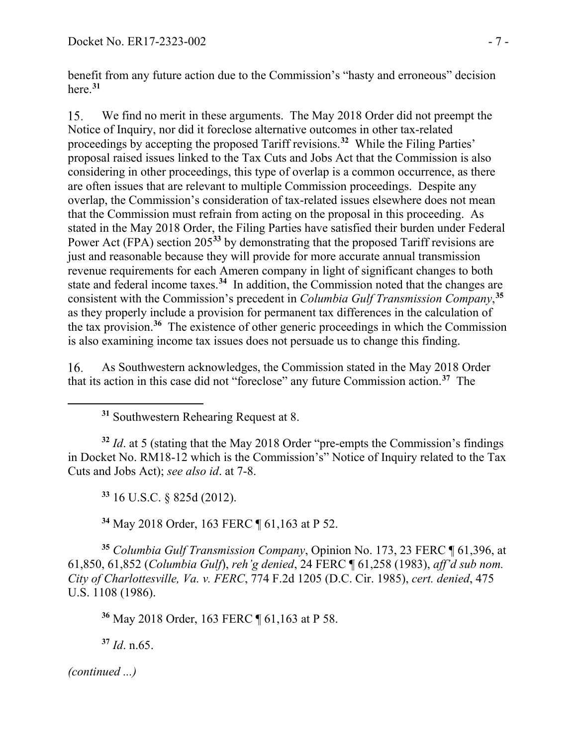benefit from any future action due to the Commission's "hasty and erroneous" decision here. **[31](#page-6-0)**

We find no merit in these arguments. The May 2018 Order did not preempt the 15. Notice of Inquiry, nor did it foreclose alternative outcomes in other tax-related proceedings by accepting the proposed Tariff revisions.**[32](#page-6-1)** While the Filing Parties' proposal raised issues linked to the Tax Cuts and Jobs Act that the Commission is also considering in other proceedings, this type of overlap is a common occurrence, as there are often issues that are relevant to multiple Commission proceedings. Despite any overlap, the Commission's consideration of tax-related issues elsewhere does not mean that the Commission must refrain from acting on the proposal in this proceeding. As stated in the May 2018 Order, the Filing Parties have satisfied their burden under Federal Power Act (FPA) section 205<sup>[33](#page-6-2)</sup> by demonstrating that the proposed Tariff revisions are just and reasonable because they will provide for more accurate annual transmission revenue requirements for each Ameren company in light of significant changes to both state and federal income taxes. **[34](#page-6-3)** In addition, the Commission noted that the changes are consistent with the Commission's precedent in *Columbia Gulf Transmission Company*, **[35](#page-6-4)** as they properly include a provision for permanent tax differences in the calculation of the tax provision.**[36](#page-6-5)** The existence of other generic proceedings in which the Commission is also examining income tax issues does not persuade us to change this finding.

16. As Southwestern acknowledges, the Commission stated in the May 2018 Order that its action in this case did not "foreclose" any future Commission action. **[37](#page-6-6)** The

**<sup>31</sup>** Southwestern Rehearing Request at 8.

<span id="page-6-1"></span>**<sup>32</sup>** *Id*. at 5 (stating that the May 2018 Order "pre-empts the Commission's findings in Docket No. RM18-12 which is the Commission's" Notice of Inquiry related to the Tax Cuts and Jobs Act); *see also id*. at 7-8.

**<sup>33</sup>** 16 U.S.C. § 825d (2012).

**<sup>34</sup>** May 2018 Order, 163 FERC ¶ 61,163 at P 52.

<span id="page-6-4"></span><span id="page-6-3"></span><span id="page-6-2"></span>**<sup>35</sup>** *Columbia Gulf Transmission Company*, Opinion No. 173, 23 FERC ¶ 61,396, at 61,850, 61,852 (*Columbia Gulf*), *reh'g denied*, 24 FERC ¶ 61,258 (1983), *aff'd sub nom. City of Charlottesville, Va. v. FERC*, 774 F.2d 1205 (D.C. Cir. 1985), *cert. denied*, 475 U.S. 1108 (1986).

**<sup>36</sup>** May 2018 Order, 163 FERC ¶ 61,163 at P 58.

**<sup>37</sup>** *Id*. n.65.

<span id="page-6-6"></span><span id="page-6-5"></span>*(continued ...)*

<span id="page-6-0"></span> $\overline{a}$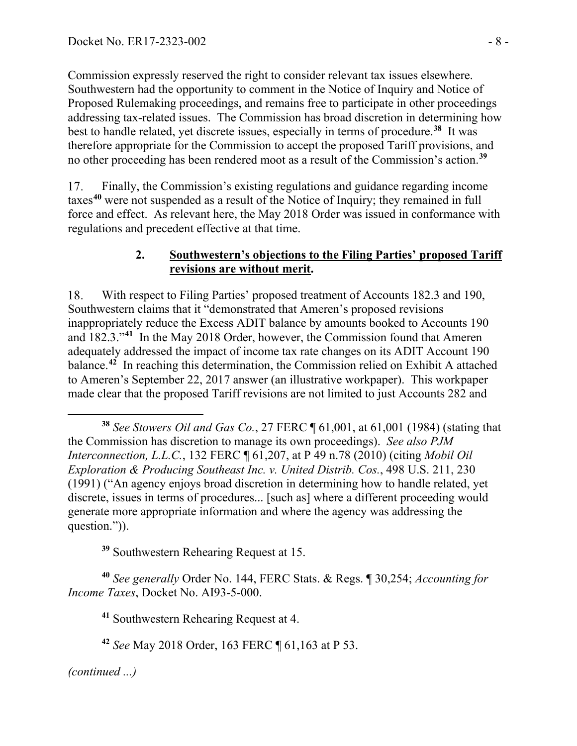Commission expressly reserved the right to consider relevant tax issues elsewhere. Southwestern had the opportunity to comment in the Notice of Inquiry and Notice of Proposed Rulemaking proceedings, and remains free to participate in other proceedings addressing tax-related issues. The Commission has broad discretion in determining how best to handle related, yet discrete issues, especially in terms of procedure.**[38](#page-7-0)** It was therefore appropriate for the Commission to accept the proposed Tariff provisions, and no other proceeding has been rendered moot as a result of the Commission's action. **[39](#page-7-1)**

Finally, the Commission's existing regulations and guidance regarding income 17. taxes**[40](#page-7-2)** were not suspended as a result of the Notice of Inquiry; they remained in full force and effect. As relevant here, the May 2018 Order was issued in conformance with regulations and precedent effective at that time.

#### **2. Southwestern's objections to the Filing Parties' proposed Tariff revisions are without merit.**

18. With respect to Filing Parties' proposed treatment of Accounts 182.3 and 190, Southwestern claims that it "demonstrated that Ameren's proposed revisions inappropriately reduce the Excess ADIT balance by amounts booked to Accounts 190 and 182.3."**[41](#page-7-3)** In the May 2018 Order, however, the Commission found that Ameren adequately addressed the impact of income tax rate changes on its ADIT Account 190 balance.<sup>[42](#page-7-4)</sup> In reaching this determination, the Commission relied on Exhibit A attached to Ameren's September 22, 2017 answer (an illustrative workpaper). This workpaper made clear that the proposed Tariff revisions are not limited to just Accounts 282 and

**<sup>39</sup>** Southwestern Rehearing Request at 15.

<span id="page-7-4"></span><span id="page-7-3"></span><span id="page-7-2"></span><span id="page-7-1"></span>**<sup>40</sup>** *See generally* Order No. 144, FERC Stats. & Regs. ¶ 30,254; *Accounting for Income Taxes*, Docket No. AI93-5-000.

**<sup>41</sup>** Southwestern Rehearing Request at 4.

**<sup>42</sup>** *See* May 2018 Order, 163 FERC ¶ 61,163 at P 53.

<span id="page-7-0"></span> $\overline{a}$ **<sup>38</sup>** *See Stowers Oil and Gas Co.*, 27 FERC ¶ 61,001, at 61,001 (1984) (stating that the Commission has discretion to manage its own proceedings). *See also PJM Interconnection, L.L.C.*, 132 FERC ¶ 61,207, at P 49 n.78 (2010) (citing *Mobil Oil Exploration & Producing Southeast Inc. v. United Distrib. Cos.*, 498 U.S. 211, 230 (1991) ("An agency enjoys broad discretion in determining how to handle related, yet discrete, issues in terms of procedures... [such as] where a different proceeding would generate more appropriate information and where the agency was addressing the question.")).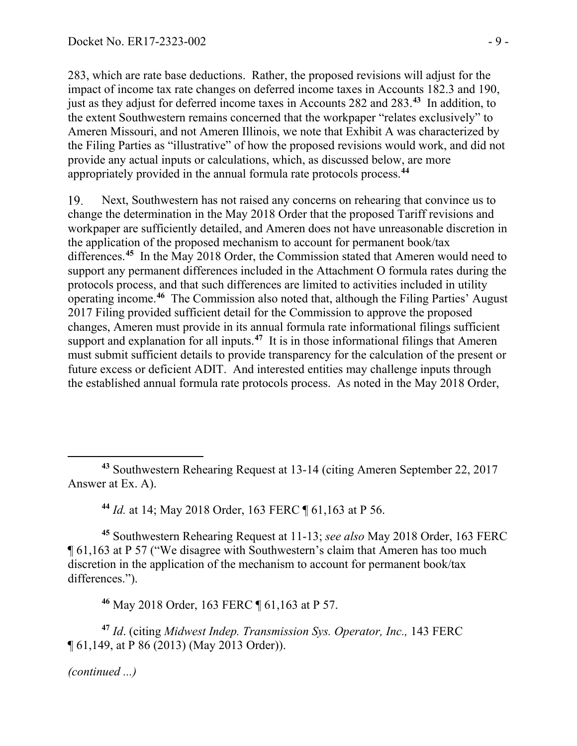283, which are rate base deductions. Rather, the proposed revisions will adjust for the impact of income tax rate changes on deferred income taxes in Accounts 182.3 and 190, just as they adjust for deferred income taxes in Accounts 282 and 283.**[43](#page-8-0)** In addition, to the extent Southwestern remains concerned that the workpaper "relates exclusively" to Ameren Missouri, and not Ameren Illinois, we note that Exhibit A was characterized by the Filing Parties as "illustrative" of how the proposed revisions would work, and did not provide any actual inputs or calculations, which, as discussed below, are more appropriately provided in the annual formula rate protocols process.**[44](#page-8-1)**

Next, Southwestern has not raised any concerns on rehearing that convince us to 19. change the determination in the May 2018 Order that the proposed Tariff revisions and workpaper are sufficiently detailed, and Ameren does not have unreasonable discretion in the application of the proposed mechanism to account for permanent book/tax differences.**[45](#page-8-2)** In the May 2018 Order, the Commission stated that Ameren would need to support any permanent differences included in the Attachment O formula rates during the protocols process, and that such differences are limited to activities included in utility operating income.**[46](#page-8-3)** The Commission also noted that, although the Filing Parties' August 2017 Filing provided sufficient detail for the Commission to approve the proposed changes, Ameren must provide in its annual formula rate informational filings sufficient support and explanation for all inputs.<sup>[47](#page-8-4)</sup> It is in those informational filings that Ameren must submit sufficient details to provide transparency for the calculation of the present or future excess or deficient ADIT. And interested entities may challenge inputs through the established annual formula rate protocols process. As noted in the May 2018 Order,

**<sup>44</sup>** *Id.* at 14; May 2018 Order, 163 FERC ¶ 61,163 at P 56.

<span id="page-8-2"></span><span id="page-8-1"></span>**<sup>45</sup>** Southwestern Rehearing Request at 11-13; *see also* May 2018 Order, 163 FERC ¶ 61,163 at P 57 ("We disagree with Southwestern's claim that Ameren has too much discretion in the application of the mechanism to account for permanent book/tax differences.").

**<sup>46</sup>** May 2018 Order, 163 FERC ¶ 61,163 at P 57.

<span id="page-8-4"></span><span id="page-8-3"></span>**<sup>47</sup>** *Id*. (citing *Midwest Indep. Transmission Sys. Operator, Inc.,* 143 FERC ¶ 61,149, at P 86 (2013) (May 2013 Order)).

*(continued ...)*

<span id="page-8-0"></span>**<sup>43</sup>** Southwestern Rehearing Request at 13-14 (citing Ameren September 22, 2017 Answer at Ex. A).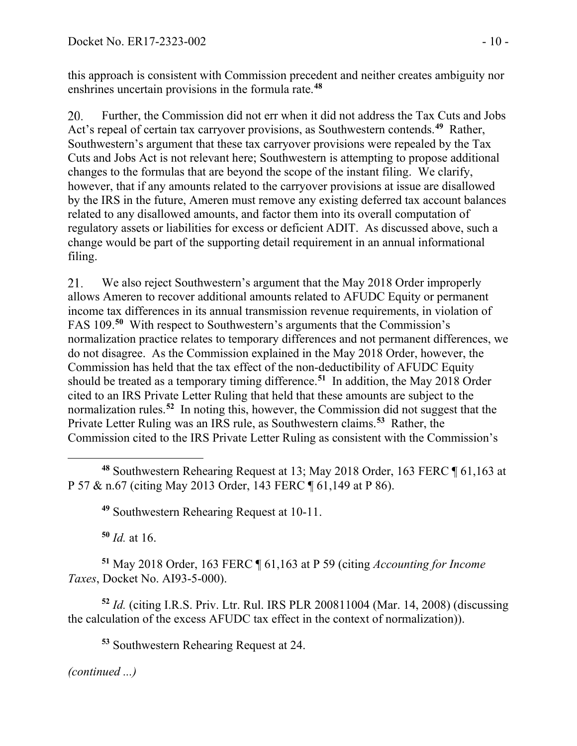this approach is consistent with Commission precedent and neither creates ambiguity nor enshrines uncertain provisions in the formula rate.**[48](#page-9-0)**

Further, the Commission did not err when it did not address the Tax Cuts and Jobs 20. Act's repeal of certain tax carryover provisions, as Southwestern contends.**[49](#page-9-1)** Rather, Southwestern's argument that these tax carryover provisions were repealed by the Tax Cuts and Jobs Act is not relevant here; Southwestern is attempting to propose additional changes to the formulas that are beyond the scope of the instant filing. We clarify, however, that if any amounts related to the carryover provisions at issue are disallowed by the IRS in the future, Ameren must remove any existing deferred tax account balances related to any disallowed amounts, and factor them into its overall computation of regulatory assets or liabilities for excess or deficient ADIT. As discussed above, such a change would be part of the supporting detail requirement in an annual informational filing.

21. We also reject Southwestern's argument that the May 2018 Order improperly allows Ameren to recover additional amounts related to AFUDC Equity or permanent income tax differences in its annual transmission revenue requirements, in violation of FAS 109.**[50](#page-9-2)** With respect to Southwestern's arguments that the Commission's normalization practice relates to temporary differences and not permanent differences, we do not disagree. As the Commission explained in the May 2018 Order, however, the Commission has held that the tax effect of the non-deductibility of AFUDC Equity should be treated as a temporary timing difference.**[51](#page-9-3)** In addition, the May 2018 Order cited to an IRS Private Letter Ruling that held that these amounts are subject to the normalization rules.**[52](#page-9-4)** In noting this, however, the Commission did not suggest that the Private Letter Ruling was an IRS rule, as Southwestern claims. **[53](#page-9-5)** Rather, the Commission cited to the IRS Private Letter Ruling as consistent with the Commission's

**<sup>49</sup>** Southwestern Rehearing Request at 10-11.

**<sup>50</sup>** *Id.* at 16.

<span id="page-9-3"></span><span id="page-9-2"></span><span id="page-9-1"></span>**<sup>51</sup>** May 2018 Order, 163 FERC ¶ 61,163 at P 59 (citing *Accounting for Income Taxes*, Docket No. AI93-5-000).

<span id="page-9-5"></span><span id="page-9-4"></span>**<sup>52</sup>** *Id.* (citing I.R.S. Priv. Ltr. Rul. IRS PLR 200811004 (Mar. 14, 2008) (discussing the calculation of the excess AFUDC tax effect in the context of normalization)).

**<sup>53</sup>** Southwestern Rehearing Request at 24.

<span id="page-9-0"></span>**<sup>48</sup>** Southwestern Rehearing Request at 13; May 2018 Order, 163 FERC ¶ 61,163 at P 57 & n.67 (citing May 2013 Order, 143 FERC ¶ 61,149 at P 86).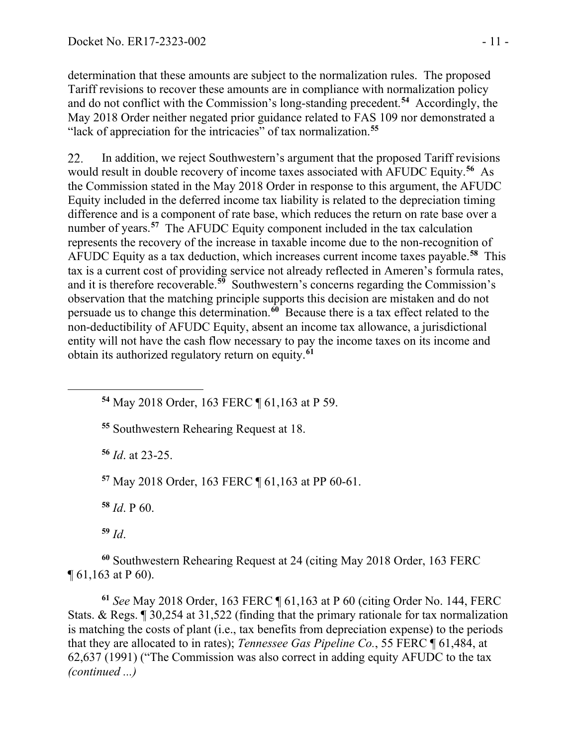determination that these amounts are subject to the normalization rules. The proposed Tariff revisions to recover these amounts are in compliance with normalization policy and do not conflict with the Commission's long-standing precedent. **[54](#page-10-0)** Accordingly, the May 2018 Order neither negated prior guidance related to FAS 109 nor demonstrated a "lack of appreciation for the intricacies" of tax normalization.**[55](#page-10-1)**

In addition, we reject Southwestern's argument that the proposed Tariff revisions 22. would result in double recovery of income taxes associated with AFUDC Equity.**[56](#page-10-2)** As the Commission stated in the May 2018 Order in response to this argument, the AFUDC Equity included in the deferred income tax liability is related to the depreciation timing difference and is a component of rate base, which reduces the return on rate base over a number of years.<sup>[57](#page-10-3)</sup> The AFUDC Equity component included in the tax calculation represents the recovery of the increase in taxable income due to the non-recognition of AFUDC Equity as a tax deduction, which increases current income taxes payable.**[58](#page-10-4)** This tax is a current cost of providing service not already reflected in Ameren's formula rates, and it is therefore recoverable. **[59](#page-10-5)** Southwestern's concerns regarding the Commission's observation that the matching principle supports this decision are mistaken and do not persuade us to change this determination.**[60](#page-10-6)** Because there is a tax effect related to the non-deductibility of AFUDC Equity, absent an income tax allowance, a jurisdictional entity will not have the cash flow necessary to pay the income taxes on its income and obtain its authorized regulatory return on equity.**[61](#page-10-7)**

**<sup>54</sup>** May 2018 Order, 163 FERC ¶ 61,163 at P 59.

**<sup>55</sup>** Southwestern Rehearing Request at 18.

**<sup>56</sup>** *Id*. at 23-25.

<span id="page-10-3"></span>**<sup>57</sup>** May 2018 Order, 163 FERC ¶ 61,163 at PP 60-61.

**<sup>58</sup>** *Id*. P 60.

**<sup>59</sup>** *Id*.

<span id="page-10-2"></span><span id="page-10-1"></span><span id="page-10-0"></span>

<span id="page-10-6"></span><span id="page-10-5"></span><span id="page-10-4"></span>**<sup>60</sup>** Southwestern Rehearing Request at 24 (citing May 2018 Order, 163 FERC ¶ 61,163 at P 60).

<span id="page-10-7"></span>**<sup>61</sup>** *See* May 2018 Order, 163 FERC ¶ 61,163 at P 60 (citing Order No. 144, FERC Stats. & Regs. ¶ 30,254 at 31,522 (finding that the primary rationale for tax normalization is matching the costs of plant (i.e., tax benefits from depreciation expense) to the periods that they are allocated to in rates); *Tennessee Gas Pipeline Co.*, 55 FERC ¶ 61,484, at 62,637 (1991) ("The Commission was also correct in adding equity AFUDC to the tax *(continued ...)*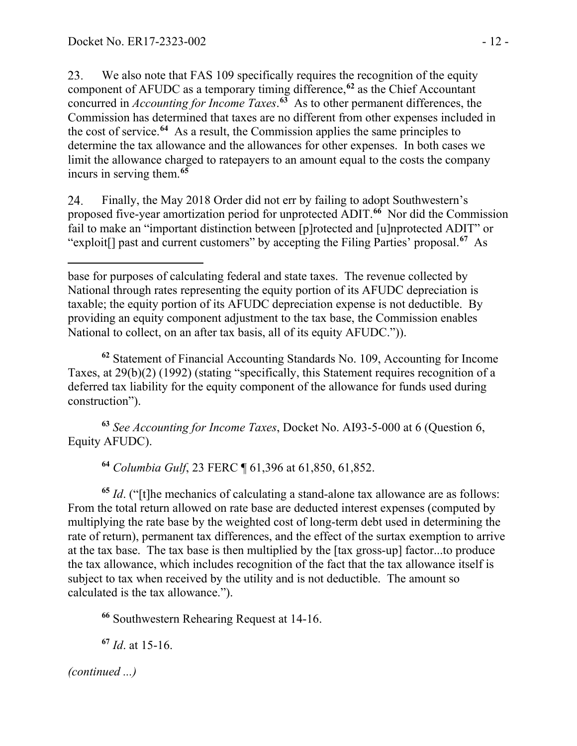We also note that FAS 109 specifically requires the recognition of the equity 23. component of AFUDC as a temporary timing difference,**[62](#page-11-0)** as the Chief Accountant concurred in *Accounting for Income Taxes*. **[63](#page-11-1)** As to other permanent differences, the Commission has determined that taxes are no different from other expenses included in the cost of service.**[64](#page-11-2)** As a result, the Commission applies the same principles to determine the tax allowance and the allowances for other expenses. In both cases we limit the allowance charged to ratepayers to an amount equal to the costs the company incurs in serving them.**[65](#page-11-3)**

24. Finally, the May 2018 Order did not err by failing to adopt Southwestern's proposed five-year amortization period for unprotected ADIT.**[66](#page-11-4)** Nor did the Commission fail to make an "important distinction between [p]rotected and [u]nprotected ADIT" or "exploit[] past and current customers" by accepting the Filing Parties' proposal. **[67](#page-11-5)** As

 $\overline{a}$ base for purposes of calculating federal and state taxes. The revenue collected by National through rates representing the equity portion of its AFUDC depreciation is taxable; the equity portion of its AFUDC depreciation expense is not deductible. By providing an equity component adjustment to the tax base, the Commission enables National to collect, on an after tax basis, all of its equity AFUDC.")).

<span id="page-11-0"></span>**<sup>62</sup>** Statement of Financial Accounting Standards No. 109, Accounting for Income Taxes, at 29(b)(2) (1992) (stating "specifically, this Statement requires recognition of a deferred tax liability for the equity component of the allowance for funds used during construction").

<span id="page-11-1"></span>**<sup>63</sup>** *See Accounting for Income Taxes*, Docket No. AI93-5-000 at 6 (Question 6, Equity AFUDC).

**<sup>64</sup>** *Columbia Gulf*, 23 FERC ¶ 61,396 at 61,850, 61,852.

<span id="page-11-3"></span><span id="page-11-2"></span>**<sup>65</sup>** *Id*. ("[t]he mechanics of calculating a stand-alone tax allowance are as follows: From the total return allowed on rate base are deducted interest expenses (computed by multiplying the rate base by the weighted cost of long-term debt used in determining the rate of return), permanent tax differences, and the effect of the surtax exemption to arrive at the tax base. The tax base is then multiplied by the [tax gross-up] factor...to produce the tax allowance, which includes recognition of the fact that the tax allowance itself is subject to tax when received by the utility and is not deductible. The amount so calculated is the tax allowance.").

<span id="page-11-4"></span>**<sup>66</sup>** Southwestern Rehearing Request at 14-16.

<span id="page-11-5"></span>**<sup>67</sup>** *Id*. at 15-16.